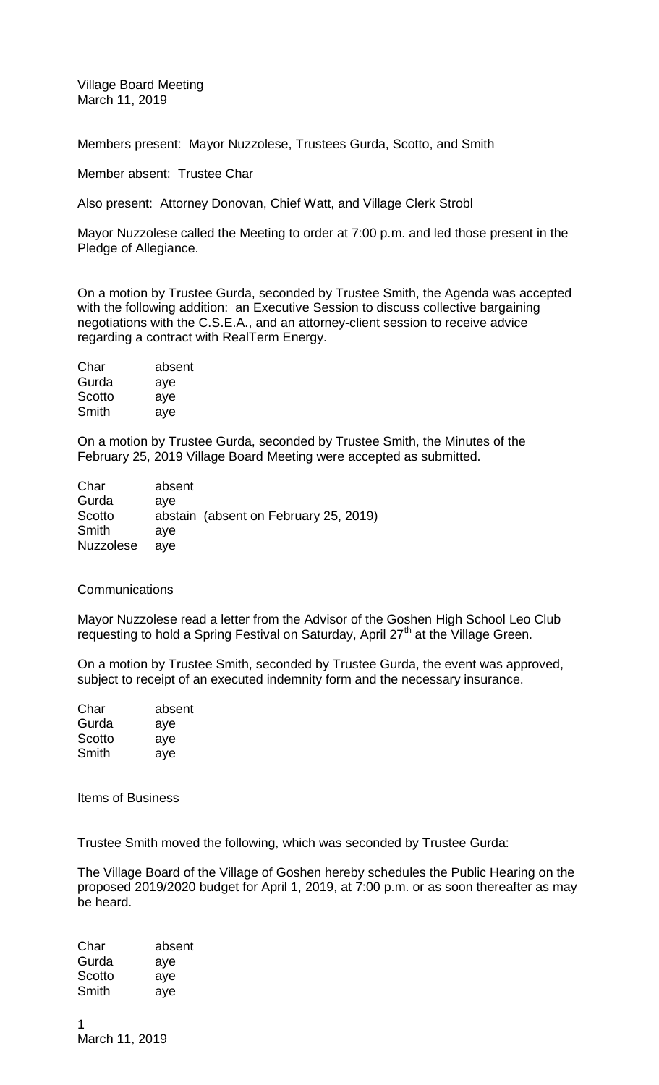Village Board Meeting March 11, 2019

Members present: Mayor Nuzzolese, Trustees Gurda, Scotto, and Smith

Member absent: Trustee Char

Also present: Attorney Donovan, Chief Watt, and Village Clerk Strobl

Mayor Nuzzolese called the Meeting to order at 7:00 p.m. and led those present in the Pledge of Allegiance.

On a motion by Trustee Gurda, seconded by Trustee Smith, the Agenda was accepted with the following addition: an Executive Session to discuss collective bargaining negotiations with the C.S.E.A., and an attorney-client session to receive advice regarding a contract with RealTerm Energy.

| Char   | absent |
|--------|--------|
| Gurda  | aye    |
| Scotto | aye    |
| Smith  | aye    |

On a motion by Trustee Gurda, seconded by Trustee Smith, the Minutes of the February 25, 2019 Village Board Meeting were accepted as submitted.

| absent |                                       |
|--------|---------------------------------------|
| ave    |                                       |
|        | abstain (absent on February 25, 2019) |
| ave    |                                       |
| ave    |                                       |
|        |                                       |

## **Communications**

Mayor Nuzzolese read a letter from the Advisor of the Goshen High School Leo Club requesting to hold a Spring Festival on Saturday, April 27<sup>th</sup> at the Village Green.

On a motion by Trustee Smith, seconded by Trustee Gurda, the event was approved, subject to receipt of an executed indemnity form and the necessary insurance.

| Char   | absent |
|--------|--------|
| Gurda  | aye    |
| Scotto | aye    |
| Smith  | aye    |

Items of Business

Trustee Smith moved the following, which was seconded by Trustee Gurda:

The Village Board of the Village of Goshen hereby schedules the Public Hearing on the proposed 2019/2020 budget for April 1, 2019, at 7:00 p.m. or as soon thereafter as may be heard.

| Char   | absent |
|--------|--------|
| Gurda  | aye    |
| Scotto | aye    |
| Smith  | aye    |